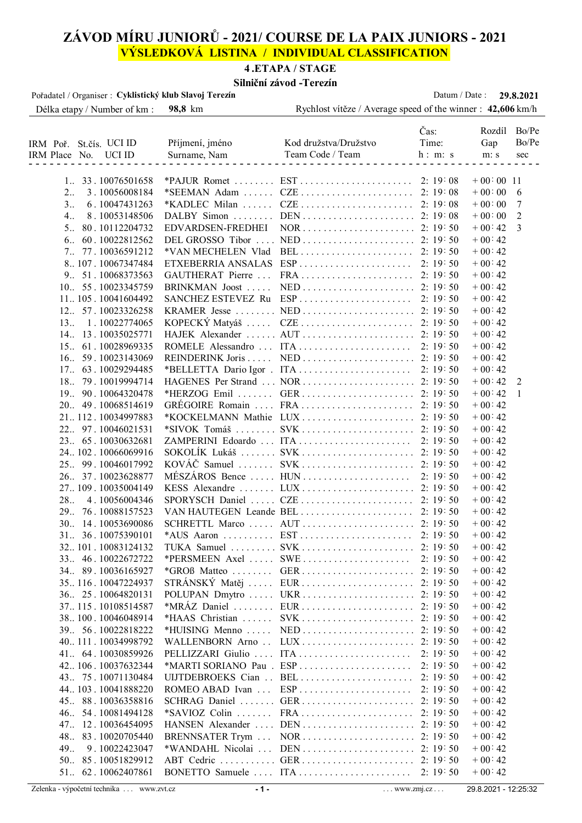# **ZÁVOD MÍRU JUNIORŮ - 2021/ COURSE DE LA PAIX JUNIORS - 2021 VÝSLEDKOVÁ LISTINA / INDIVIDUAL CLASSIFICATION**

# **4 .ETAPA / STAGE**

## **Silniční závod -Terezín**

| Pořadatel / Organiser : Cyklistický klub Slavoj Terezín |                           | ЭШЦИН <i>L</i> avvu - I U UZII                              | Datum / Date: |              | 29.8.2021    |
|---------------------------------------------------------|---------------------------|-------------------------------------------------------------|---------------|--------------|--------------|
| Délka etapy / Number of km :                            | 98,8 km                   | Rychlost vítěze / Average speed of the winner : 42,606 km/h |               |              |              |
|                                                         |                           |                                                             | Čas:          | Rozdíl Bo/Pe |              |
| IRM Poř. St.čís. UCI ID                                 | Příjmení, jméno           | Kod družstva/Družstvo                                       | Time:         | Gap          | Bo/Pe        |
| IRM Place No. UCI ID                                    | Surname, Nam              | Team Code / Team                                            | h: m: s       | m: s         | sec          |
|                                                         |                           |                                                             |               |              |              |
| 1 33.10076501658                                        |                           |                                                             |               | $+00:00$ 11  |              |
| 3.10056008184<br>2                                      | *SEEMAN Adam              |                                                             |               | $+00:00$     | 6            |
| 3<br>6.10047431263                                      | *KADLEC Milan             |                                                             |               | $+00:00$     | 7            |
| 4.<br>8.10053148506                                     | DALBY Simon               |                                                             |               | $+00:00$     | 2            |
| 80.10112204732<br>5                                     | EDVARDSEN-FREDHEI         |                                                             |               | $+00:42$     | 3            |
| 60.10022812562<br>6                                     | DEL GROSSO Tibor          |                                                             |               | $+00:42$     |              |
| 7 77.10036591212                                        | *VAN MECHELEN Vlad        |                                                             | 2:19:50       | $+00:42$     |              |
| 8 107. 10067347484                                      | ETXEBERRIA ANSALAS        | $ESP \dots \dots \dots \dots \dots \dots \dots \dots$       | 2:19:50       | $+00:42$     |              |
| 9. 51.10068373563                                       | GAUTHERAT Pierre          |                                                             | 2:19:50       | $+00:42$     |              |
| 10. 55.10023345759                                      | BRINKMAN Joost            |                                                             |               | $+00:42$     |              |
| 11105.10041604492                                       | <b>SANCHEZ ESTEVEZ Ru</b> |                                                             | 2:19:50       | $+00:42$     |              |
| 12 57.10023326258                                       | KRAMER Jesse              |                                                             |               | $+00:42$     |              |
| 13. 1.10022774065                                       | KOPECKÝ Matyáš            |                                                             |               | $+00:42$     |              |
| 14. 13.10035025771                                      |                           |                                                             |               | $+00:42$     |              |
| 15. 61.10028969335                                      |                           | ROMELE Alessandro  ITA                                      | 2:19:50       | $+00:42$     |              |
| 16 59.10023143069                                       |                           |                                                             |               |              |              |
|                                                         | REINDERINK Joris          |                                                             |               | $+00:42$     |              |
| 17. 63.10029294485                                      |                           |                                                             | 2:19:50       | $+00:42$     |              |
| 18 79.10019994714                                       |                           | *HERZOG Emil  GER                                           |               | $+00.42$     | 2            |
| 19 90.10064320478                                       |                           |                                                             | 2:19:50       | $+00.42$     | $\mathbf{1}$ |
| 20 49.10068514619                                       |                           | GRÉGOIRE Romain  FRA                                        | 2:19:50       | $+00:42$     |              |
| 21112.10034997883                                       |                           | *KOCKELMANN Mathie LUX                                      | 2:19:50       | $+00:42$     |              |
| 22 97.10046021531                                       |                           | *SIVOK Tomáš  SVK                                           | 2:19:50       | $+00:42$     |              |
| 23. 65.10030632681                                      |                           | ZAMPERINI Edoardo  ITA                                      | 2:19:50       | $+00:42$     |              |
| 24102.10066069916                                       |                           | SOKOLÍK Lukáš  SVK                                          | 2:19:50       | $+00:42$     |              |
| 25 99.10046017992                                       |                           |                                                             |               | $+00:42$     |              |
| 26. 37.10023628877                                      |                           | MÉSZÁROS Bence  HUN                                         | 2:19:50       | $+00:42$     |              |
| 27109.10035004149                                       |                           | KESS Alexandre  LUX  2: 19:50                               |               | $+00:42$     |              |
| 28.<br>4.10056004346                                    |                           |                                                             |               | $+00:42$     |              |
| 29. 76.10088157523                                      |                           | VAN HAUTEGEN Leande BEL                                     | 2:19:50       | $+00:42$     |              |
| 30 14.10053690086                                       |                           |                                                             |               | $+00:42$     |              |
| 31. 36.10075390101                                      |                           |                                                             |               | $+00.42$     |              |
| 32101.10083124132                                       |                           | TUKA Samuel  SVK 2: 19:50                                   |               | $+00:42$     |              |
| 33 46.10022672722                                       |                           | *PERSMEEN $Axel$ SWE                                        | 2:19:50       | $+00:42$     |              |
| 34 89.10036165927                                       | $*GROB$ Matteo            |                                                             |               | $+00:42$     |              |
| 35116.10047224937                                       | $STRÁNSKÝ Matěj$          |                                                             |               | $+00:42$     |              |
| 36. 25.10064820131                                      |                           | POLUPAN Dmytro  UKR  2: 19:50                               |               | $+00:42$     |              |
| 37115.10108514587                                       | *MRAZ Daniel              |                                                             |               | $+00:42$     |              |
| 38100.10046048914                                       | *HAAS Christian           |                                                             |               | $+00:42$     |              |
| 39 56.10022818222                                       | *HUISING Menno            |                                                             |               | $+00:42$     |              |
| 40111.10034998792                                       | WALLENBORN Arno           |                                                             | 2:19:50       | $+00:42$     |              |
| 41. 64.10030859926                                      |                           | PELLIZZARI Giulio  ITA                                      | 2: 19: 50     | $+00:42$     |              |
| 42 106. 10037632344                                     |                           | *MARTI SORIANO Pau . ESP                                    | 2:19:50       | $+00:42$     |              |
| 43. 75.10071130484                                      |                           | UIJTDEBROEKS Cian  BEL                                      | 2:19:50       | $+00:42$     |              |
| 44 103. 10041888220                                     | ROMEO ABAD Ivan           | ESP                                                         | 2:19:50       | $+00.42$     |              |
| 45 88.10036358816                                       | SCHRAG Daniel             |                                                             | 2:19:50       | $+00:42$     |              |
| 46 54.10081494128                                       | $*SAVIOZ$ Colin           |                                                             | 2:19:50       | $+00:42$     |              |
| 47. 12.10036454095                                      | HANSEN Alexander          |                                                             | 2:19:50       | $+00:42$     |              |
| 48 83.10020705440                                       | BRENNSATER Trym           |                                                             | 2:19:50       | $+00:42$     |              |
| 49.<br>9.10022423047                                    | *WANDAHL Nicolai          | $DEN \ldots \ldots \ldots \ldots \ldots \ldots$             | 2:19:50       | $+00:42$     |              |
| 50. 85.10051829912                                      |                           | ABT Cedric  GER                                             | 2:19:50       | $+00.42$     |              |
| 51. 62.10062407861                                      |                           | BONETTO Samuele  ITA                                        | 2:19:50       | $+00.42$     |              |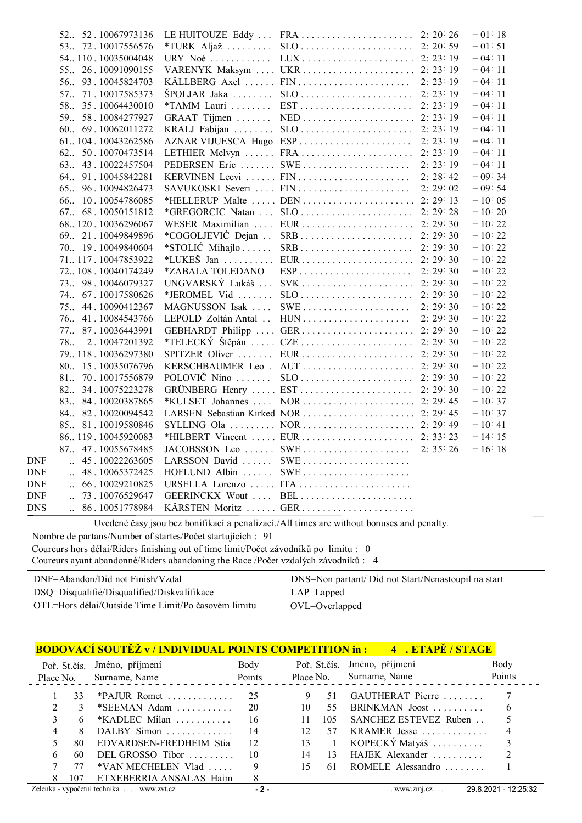|            | 52. 52.10067973136                     |                              |                                                       |           | $+01:18$ |
|------------|----------------------------------------|------------------------------|-------------------------------------------------------|-----------|----------|
|            | 53 72.10017556576                      | $*TURK$ Aljaž                |                                                       |           | $+01:51$ |
|            | 54110.10035004048                      | $URY$ Noé                    |                                                       |           | $+04:11$ |
|            | 55 26.10091090155                      |                              | VARENYK Maksym  UKR  2: 23:19                         |           | $+04:11$ |
|            | 56 93.10045824703                      |                              | KÄLLBERG Axel  FIN                                    | 2: 23: 19 | $+04:11$ |
|            | 57 71.10017585373                      | ŠPOLJAR Jaka                 |                                                       |           | $+04:11$ |
|            | 58. 35.10064430010                     |                              | *TAMM Lauri  EST  2: 23:19                            |           | $+04:11$ |
|            | 59. 58.10084277927                     |                              |                                                       |           | $+04:11$ |
|            | 60 69.10062011272                      |                              | KRALJ Fabijan  SLO  2: 23:19                          |           | $+04:11$ |
|            | 61104.10043262586                      |                              | AZNAR VIJUESCA Hugo ESP                               | 2: 23: 19 | $+04:11$ |
|            | 62 50.10070473514                      |                              |                                                       |           | $+04:11$ |
|            | 63 43.10022457504                      |                              | PEDERSEN Eric  SWE                                    | 2: 23: 19 | $+04:11$ |
|            | 64 91.10045842281                      |                              |                                                       |           | $+09:34$ |
|            | 96.10094826473<br>65                   |                              |                                                       |           | $+09:54$ |
|            | 66 10.10054786085                      |                              | *HELLERUP Malte  DEN  2: 29:13                        |           | $+10:05$ |
|            | 67 68.10050151812                      |                              | *GREGORCIC Natan  SLO  2: 29:28                       |           | $+10:20$ |
|            | 68120.10036296067                      |                              | WESER Maximilian  EUR  2: 29:30                       |           | $+10:22$ |
|            | 69. 21.10049849896                     | *COGOLJEVIĆ Dejan            |                                                       |           | $+10:22$ |
|            | 70 19.10049840604                      | *STOLIĆ Mihajlo              |                                                       |           | $+10:22$ |
|            | 71117.10047853922                      | $*LUKE\ddot{\mathbf{S}}$ Jan | EUR 2: 29:30                                          |           | $+10:22$ |
|            | 72108.10040174249                      | *ZABALA TOLEDANO             | $ESP \dots \dots \dots \dots \dots \dots \dots \dots$ | 2: 29: 30 | $+10:22$ |
|            | 73 98.10046079327                      |                              | UNGVARSKÝ Lukáš  SVK  2: 29:30                        |           | $+10:22$ |
|            | 74. 67.10017580626                     | *JEROMEL Vid                 |                                                       |           | $+10:22$ |
|            | 75 44.10090412367                      | MAGNUSSON Isak               |                                                       |           | $+10:22$ |
|            | 76. 41.10084543766                     | LEPOLD Zoltán Antal          |                                                       |           | $+10:22$ |
|            | 77. 87.10036443991                     |                              |                                                       |           | $+10:22$ |
|            | 78<br>2.10047201392                    |                              | *TELECKÝ Štěpán  CZE  2: 29:30                        |           | $+10:22$ |
|            | 79118.10036297380                      |                              |                                                       |           | $+10:22$ |
|            | 80 15.10035076796                      |                              |                                                       |           | $+10:22$ |
|            | 81 70.10017556879                      | POLOVIČ Nino                 |                                                       |           | $+10:22$ |
|            | 82 34.10075223278                      |                              |                                                       |           | $+10:22$ |
|            | 83 84.10020387865                      |                              | *KULSET Johannes  NOR  2: 29:45                       |           | $+10:37$ |
|            | 84 82.10020094542                      |                              |                                                       |           | $+10:37$ |
|            | 85 81.10019580846                      |                              |                                                       |           | $+10:41$ |
|            | 86119.10045920083                      |                              |                                                       |           | $+14:15$ |
|            | 87. 47.10055678485                     |                              | JACOBSSON Leo  SWE                                    | 2: 35: 26 | $+16:18$ |
| DNF        | $\ldots$ 45.10022263605                | LARSSON David                | $\text{SWE}\dots\dots\dots\dots\dots\dots\dots\dots$  |           |          |
| DNF        | 48.10065372425<br>$\ddot{\phantom{a}}$ |                              | HOFLUND Albin  SWE                                    |           |          |
| DNF        | 66.10029210825                         |                              | URSELLA Lorenzo  ITA                                  |           |          |
| DNF        | $\ldots$ 73.10076529647                |                              | GEERINCKX Wout  BEL                                   |           |          |
| <b>DNS</b> | $\ldots$ 86.10051778984                |                              | KÄRSTEN Moritz  GER                                   |           |          |

Uvedené časy jsou bez bonifikací a penalizací./All times are without bonuses and penalty.

Nombre de partans/Number of startes/Počet startujících : 91 Coureurs hors délai/Riders finishing out of time limit/Počet závodníků po limitu : 0 Coureurs ayant abandonné/Riders abandoning the Race /Počet vzdalých závodníků : 4

| DNF=Abandon/Did not Finish/Vzdal                    | DNS=Non partant/ Did not Start/Nenastoupil na start |
|-----------------------------------------------------|-----------------------------------------------------|
| DSQ=Disqualifié/Disqualified/Diskvalifikace         | $LAP = Lapped$                                      |
| OTL=Hors délai/Outside Time Limit/Po časovém limitu | $OVL = Overlapped$                                  |

|           |     | <b>BODOVACÍ SOUTĚŽ v/INDIVIDUAL POINTS COMPETITION in : 4. ETAPĚ/STAGE</b> |        |                 |     |                              |                      |
|-----------|-----|----------------------------------------------------------------------------|--------|-----------------|-----|------------------------------|----------------------|
|           |     | Poř. St.čís. Jméno, příjmení                                               | Body   |                 |     | Poř. St.čís. Jméno, příjmení | Body                 |
| Place No. |     | Surname, Name                                                              | Points |                 |     | Place No. Surname, Name      | Points               |
|           | 33  | *PAJUR Romet                                                               | 25     | 9               | 51  | GAUTHERAT Pierre             |                      |
|           | 3   | $*SEEMAN$ Adam                                                             | 20     | 10              | 55  | BRINKMAN Joost               | 6                    |
|           | 6   | $*$ KADLEC Milan                                                           | 16     | 11              | 105 | SANCHEZ ESTEVEZ Ruben        |                      |
| 4         | 8   | $DALBY$ Simon                                                              | 14     | 12 <sup>2</sup> | 57  | KRAMER Jesse                 |                      |
|           | 80. | EDVARDSEN-FREDHEIM Stia                                                    | 12     | 13              | -1  | KOPECKÝ Matyáš $\ldots$      |                      |
| 6         | 60. | DEL GROSSO Tibor $\ldots \ldots$                                           | 10     | 14              | 13  | HAJEK Alexander              |                      |
|           |     | $*VAN MECHELEN$ Vlad                                                       | 9      | 15              | 61  | ROMELE Alessandro $\ldots$   |                      |
|           | 107 | ETXEBERRIA ANSALAS Haim                                                    | 8      |                 |     |                              |                      |
|           |     | Zelenka - výpočetní technika  www.zvt.cz                                   | $-2-$  |                 |     | $\ldots$ www.zm.cz $\ldots$  | 29.8.2021 - 12:25:32 |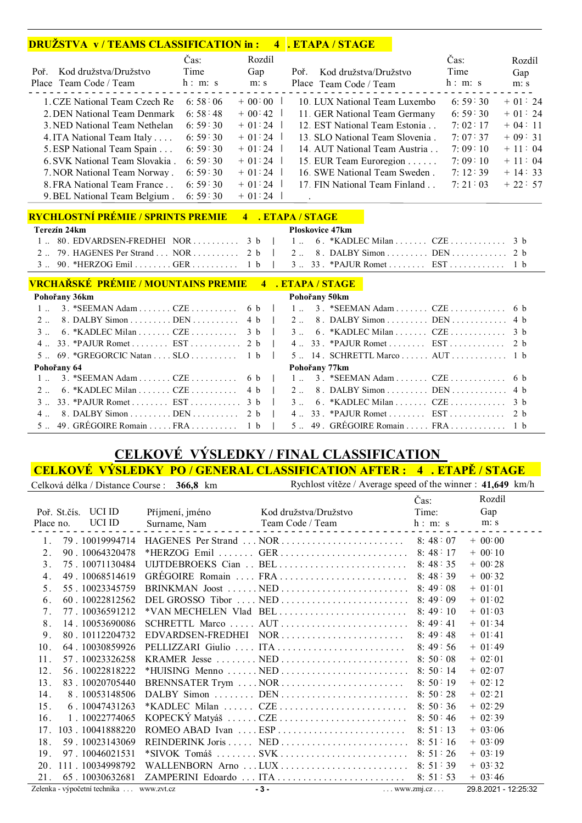## **DRUŽSTVA v / TEAMS CLASSIFICATION in : 4 . ETAPA / STAGE**

|                                | Čas:    | Rozdíl   |                                 | Čas:    | Rozdíl   |
|--------------------------------|---------|----------|---------------------------------|---------|----------|
| Kod družstva/Družstvo<br>Poř.  | Time    | Gap      | Poř.<br>Kod družstva/Družstvo   | Time    | Gap      |
| Place Team Code / Team         | h: m: s | m: s     | Place Team Code / Team          | h: m: s | m: s     |
| 1. CZE National Team Czech Re  | 6:58:06 | $+00:00$ | 10 LUX National Team Luxembo    | 6:59:30 | $+01:24$ |
| 2. DEN National Team Denmark   | 6:58:48 | $+00:42$ | 11 GER National Team Germany    | 6:59:30 | $+01:24$ |
| 3. NED National Team Nethelan  | 6:59:30 | $+01:24$ | 12. EST National Team Estonia   | 7:02:17 | $+04:11$ |
| 4. ITA National Team Italy     | 6:59:30 | $+01:24$ | 13. SLO National Team Slovenia. | 7:07:37 | $+09:31$ |
| 5. ESP National Team Spain     | 6:59:30 | $+01:24$ | 14. AUT National Team Austria   | 7:09:10 | $+11:04$ |
| 6. SVK National Team Slovakia. | 6:59:30 | $+01:24$ | 15. EUR Team Euroregion         | 7:09:10 | $+11:04$ |
| 7. NOR National Team Norway.   | 6:59:30 | $+01:24$ | 16. SWE National Team Sweden.   | 7:12:39 | $+14:33$ |
| 8. FRA National Team France    | 6:59:30 | $+01:24$ | 17. FIN National Team Finland   | 7:21:03 | $+22:57$ |
| 9. BEL National Team Belgium.  | 6:59:30 | $+01:24$ |                                 |         |          |

# **RYCHLOSTNÍ PRÉMIE / SPRINTS PREMIE 4 . ETAPA / STAGE**

| Terezín 24km |                                                                       |  |  | <b>Ploskovice 47km</b> |  |  |  |  |
|--------------|-----------------------------------------------------------------------|--|--|------------------------|--|--|--|--|
|              | 1  80. EDVARDSEN-FREDHEI NOR $3 b$   1  6. *KADLEC Milan  CZE  3 b    |  |  |                        |  |  |  |  |
|              | 2 79. HAGENES Per Strand  NOR  2 b $\vert$ 2 8. DALBY Simon  DEN  2 b |  |  |                        |  |  |  |  |
|              |                                                                       |  |  |                        |  |  |  |  |

#### **VRCHAŘSKÉ PRÉMIE / MOUNTAINS PREMIE 4 . ETAPA / STAGE**

| Pohořany 36km                         |  | Pohořany 50km                                               |  |
|---------------------------------------|--|-------------------------------------------------------------|--|
|                                       |  | 1. 3. *SEEMAN Adam  CZE  6 b   1. 3. *SEEMAN Adam  CZE  6 b |  |
| 2 8. DALBY Simon  DEN  4 b            |  | $2 \ldots 8$ . DALBY Simon  DEN  4 b                        |  |
| $3 \dots 6$ . *KADLEC Milan  CZE  3 b |  | $3 \ldots 6$ . *KADLEC Milan  CZE  3 b                      |  |
| 4 33. *PAJUR Romet EST 2 b            |  | $4 \ldots 33$ . *PAJUR Romet  EST  2 b                      |  |
| 5 $69.$ *GREGORCIC Natan  SLO  1 b    |  | $5 \ldots 14$ . SCHRETTL Marco AUT 1 b                      |  |
| Pohořany 64                           |  | Pohořany 77km                                               |  |
| 1 $3.$ *SEEMAN Adam CZE  6 b          |  | $1 \ldots 3$ . *SEEMAN Adam  CZE  6 b                       |  |
| 2 6. *KADLEC Milan  CZE  4 b          |  | $2 \ldots 8$ . DALBY Simon  DEN  4 b                        |  |
|                                       |  | $3 \ldots 6$ . *KADLEC Milan  CZE  3 b                      |  |
| 4 8. DALBY Simon DEN 2 b              |  | 4 33. *PAJUR Romet EST 2 b                                  |  |
| 5 49. GREGOIRE Romain  FRA  1 b       |  | $5 \ldots 49$ . GRÉGOIRE Romain  FRA  1 b                   |  |

# **CELKOVÉ VÝSLEDKY / FINAL CLASSIFICATION**

#### **CELKOVÉ VÝSLEDKY PO / GENERAL CLASSIFICATION AFTER : 4 . ETAPĚ / STAGE**

|                 | Celková délka / Distance Course : 366,8 km |                 | Rychlost vítěze / Average speed of the winner : 41,649 km/h                          |                              |                      |
|-----------------|--------------------------------------------|-----------------|--------------------------------------------------------------------------------------|------------------------------|----------------------|
|                 |                                            |                 |                                                                                      | Čas:                         | Rozdíl               |
|                 | Poř. St.čís. UCI ID                        | Příjmení, jméno | Kod družstva/Družstvo                                                                | Time:                        | Gap                  |
| Place no.       | UCI ID                                     | Surname, Nam    | Team Code / Team                                                                     | h: m: s                      | m: s                 |
| 1.              | 79.10019994714                             |                 |                                                                                      |                              | $+ 00.00$            |
| 2.              | 90.10064320478                             |                 |                                                                                      |                              | $+ 00:10$            |
| 3.              | 75.10071130484                             |                 | ULITDEBROEKS Cian $\ldots$ BEL $\ldots$ $\ldots$ $\ldots$ $\ldots$ $\ldots$ $\ldots$ | 8:48:35                      | $+ 00.28$            |
| 4.              | 49.10068514619                             |                 | GRÉGOIRE Romain  FRA  8: 48:39                                                       |                              | $+ 00.32$            |
| 5.              | 55.10023345759                             |                 | BRINKMAN Joost NED                                                                   | 8:49:08                      | $+ 01:01$            |
| 6.              | 60.10022812562                             |                 | DEL GROSSO Tibor  NED                                                                | 8:49:09                      | $+ 01.02$            |
| 7.              | 77.10036591212                             |                 |                                                                                      | 8:49:10                      | $+ 01:03$            |
| 8.              | 14.10053690086                             |                 |                                                                                      |                              | $+ 01.34$            |
| 9.              | 80.10112204732                             |                 |                                                                                      | 8:49:48                      | $+ 01:41$            |
| 10.             | 64.10030859926                             |                 | PELLIZZARI Giulio  ITA                                                               | 8:49:56                      | $+ 01:49$            |
| 11.             | 57.10023326258                             |                 |                                                                                      | 8:50:08                      | $+ 02.01$            |
| 12.             | 56.10022818222                             |                 |                                                                                      |                              | $+ 02.07$            |
| 13.             | 83.10020705440                             |                 | BRENNSATER Trym  NOR                                                                 | 8:50:19                      | $+ 02:12$            |
| 14.             | 8.10053148506                              |                 |                                                                                      |                              | $+ 02:21$            |
| 15.             | 6.10047431263                              |                 | *KADLEC Milan  CZE                                                                   | 8:50:36                      | $+02:29$             |
| 16.             | 1.10022774065                              |                 |                                                                                      |                              | $+ 02:39$            |
| 17 <sub>1</sub> | 103.10041888220                            |                 | ROMEO ABAD Ivan $\ldots$ ESP $\ldots$ $\ldots$ $\ldots$ $\ldots$ $\ldots$ $\ldots$   | 8:51:13                      | $+ 03.06$            |
| 18.             | 59.10023143069                             |                 |                                                                                      |                              | $+ 03.09$            |
| 19.             | 97.10046021531                             |                 |                                                                                      |                              | $+ 03:19$            |
| 20.             | 111 . 10034998792                          |                 | WALLENBORN Arno  LUX         8: 51:39                                                |                              | $+ 03.32$            |
| 21.             | 65.10030632681                             |                 | ZAMPERINI Edoardo  ITA                                                               | 8:51:53                      | $+ 03.46$            |
|                 | Zelenka - výpočetní technika  www.zvt.cz   |                 | $-3-$                                                                                | $\ldots$ www.zmj.cz $\ldots$ | 29.8.2021 - 12:25:32 |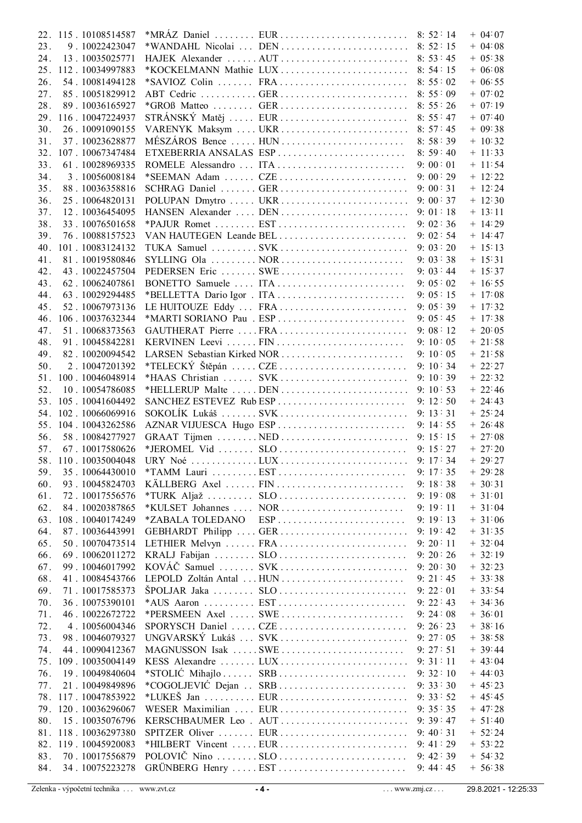|     | 22. 115. 10108514587 |                  |                                                             |           | $+$ 04:07 |
|-----|----------------------|------------------|-------------------------------------------------------------|-----------|-----------|
| 23. | 9.10022423047        |                  | *WANDAHL Nicolai  DEN  8:52:15                              |           | $+ 04.08$ |
| 24. | 13.10035025771       |                  |                                                             |           | $+ 05:38$ |
|     | 25. 112. 10034997883 |                  |                                                             |           | $+ 0608$  |
| 26. | 54.10081494128       |                  |                                                             |           | $+ 06.55$ |
|     |                      |                  |                                                             |           |           |
| 27. | 85.10051829912       |                  |                                                             |           | $+ 07.02$ |
| 28. | 89.10036165927       |                  |                                                             |           | $+ 07:19$ |
|     | 29. 116. 10047224937 |                  | STRÁNSKÝ Matěj  EUR  8: 55:47                               |           | $+ 07.40$ |
| 30. | 26.10091090155       |                  |                                                             |           | $+09.38$  |
| 31. | 37.10023628877       |                  | MÉSZÁROS Bence  HUN                                         | 8:58:39   | $+ 10.32$ |
|     | 32. 107. 10067347484 |                  | ETXEBERRIA ANSALAS ESP                                      | 8:59:40   | $+ 11:33$ |
| 33. | 61.10028969335       |                  | ROMELE Alessandro  ITA                                      | 9:00:01   | $+ 11:54$ |
|     |                      |                  |                                                             |           |           |
| 34. | 3.10056008184        |                  | *SEEMAN Adam  CZE                                           | 9:00:29   | $+ 12:22$ |
| 35. | 88.10036358816       |                  |                                                             |           | $+ 12:24$ |
| 36. | 25.10064820131       |                  |                                                             |           | $+ 12:30$ |
| 37. | 12.10036454095       |                  |                                                             |           | $+ 13:11$ |
| 38. | 33.10076501658       |                  |                                                             | 9:02:36   | $+ 14:29$ |
| 39. | 76.10088157523       |                  | VAN HAUTEGEN Leande BEL                                     | 9:02:54   | $+ 14.47$ |
| 40. | 101.10083124132      |                  |                                                             | 9:03:20   | $+ 15:13$ |
| 41. | 81.10019580846       |                  |                                                             | 9:03:38   | $+ 15:31$ |
|     |                      |                  |                                                             |           |           |
| 42. | 43.10022457504       |                  | PEDERSEN Eric  SWE                                          | 9:03:44   | $+ 15:37$ |
| 43. | 62.10062407861       |                  | BONETTO Samuele  ITA                                        | 9:05:02   | $+ 16.55$ |
| 44. | 63.10029294485       |                  |                                                             | 9:05:15   | $+ 17:08$ |
| 45. | 52.10067973136       |                  | LE HUITOUZE Eddy  FRA                                       | 9:05:39   | $+ 17.32$ |
| 46. | 106.10037632344      |                  |                                                             | 9:05:45   | $+ 17:38$ |
| 47. | 51.10068373563       |                  | GAUTHERAT Pierre  FRA                                       | 9:08:12   | $+20.05$  |
| 48. | 91.10045842281       |                  | KERVINEN Leevi  FIN                                         | 9:10:05   | $+21:58$  |
| 49. | 82.10020094542       |                  |                                                             | 9:10:05   | $+21:58$  |
|     |                      |                  |                                                             |           |           |
| 50. | 2.10047201392        |                  |                                                             |           | $+22:27$  |
| 51. | 100.10046048914      |                  |                                                             |           | $+22:32$  |
| 52. | 10.10054786085       |                  |                                                             |           | $+22:46$  |
|     | 53. 105. 10041604492 |                  | SANCHEZ ESTEVEZ Rub ESP                                     | 9:12:50   | $+ 24.43$ |
|     | 54. 102. 10066069916 |                  |                                                             |           | $+25:24$  |
|     | 55. 104. 10043262586 |                  |                                                             |           | $+26.48$  |
| 56. | 58.10084277927       |                  |                                                             |           | $+27:08$  |
| 57. | 67.10017580626       |                  |                                                             |           | $+27:20$  |
|     | 58. 110. 10035004048 |                  |                                                             |           | $+29:27$  |
|     |                      |                  |                                                             |           |           |
| 59. | 35.10064430010       |                  |                                                             | 9:17:35   | $+29.28$  |
| 60. | 93.10045824703       |                  | KÄLLBERG Axel  FIN                                          | 9:18:38   | $+30.31$  |
| 61. | 72.10017556576       |                  |                                                             | 9:19:08   | $+ 31:01$ |
| 62. | 84.10020387865       |                  | *KULSET Johannes  NOR                                       | 9:19:11   | $+31:04$  |
| 63. | 108.10040174249      | *ZABALA TOLEDANO | $ESP \dots \dots \dots \dots \dots \dots \dots \dots \dots$ | 9:19:13   | $+31.06$  |
| 64. | 87.10036443991       |                  | GEBHARDT Philipp  GER                                       | 9:19:42   | $+31:35$  |
| 65. | 50.10070473514       |                  | LETHIER Melvyn  FRA                                         | 9:20:11   | $+32.04$  |
| 66. | 69.10062011272       |                  |                                                             | 9:20:26   | $+32:19$  |
|     |                      |                  | KOVÁČ Samuel  SVK                                           |           |           |
| 67. | 99.10046017992       |                  |                                                             | 9:20:30   | $+32:23$  |
| 68. | 41.10084543766       |                  | LEPOLD Zoltán Antal  HUN                                    | 9: 21: 45 | $+33.38$  |
| 69. | 71.10017585373       |                  |                                                             | 9:22:01   | $+33:54$  |
| 70. | 36.10075390101       |                  |                                                             | 9: 22: 43 | $+34.36$  |
| 71. | 46.10022672722       |                  | *PERSMEEN Axel  SWE                                         | 9:24:08   | $+36.01$  |
| 72. | 4.10056004346        |                  | SPORYSCH Daniel  CZE                                        | 9:26:23   | $+38.16$  |
| 73. | 98.10046079327       |                  | UNGVARSKÝ Lukáš  SVK                                        | 9:27:05   | $+38.58$  |
| 74. | 44.10090412367       |                  | MAGNUSSON Isak SWE                                          | 9: 27: 51 | $+39.44$  |
| 75. | 109.10035004149      |                  | KESS Alexandre  LUX                                         | 9:31:11   | $+ 43.04$ |
| 76. | 19.10049840604       |                  | *STOLIĆ Mihajlo  SRB                                        | 9:32:10   | $+44.03$  |
|     |                      |                  |                                                             |           |           |
| 77. | 21.10049849896       |                  | *COGOLJEVIĆ Dejan  SRB                                      | 9:33:30   | $+45.23$  |
|     | 78. 117. 10047853922 |                  |                                                             | 9:33:52   | $+45.45$  |
|     | 79. 120. 10036296067 |                  | WESER Maximilian  EUR                                       | 9:35:35   | $+ 47:28$ |
| 80. | 15.10035076796       |                  | KERSCHBAUMER Leo. AUT                                       | 9:39:47   | $+ 51:40$ |
| 81. | 118.10036297380      |                  | SPITZER Oliver  EUR                                         | 9:40:31   | $+ 52:24$ |
|     | 82. 119. 10045920083 |                  | *HILBERT Vincent  EUR                                       | 9:41:29   | $+ 53:22$ |
| 83. | 70.10017556879       |                  |                                                             | 9:42:39   | $+ 54.32$ |
| 84. | 34.10075223278       |                  | GRÜNBERG Henry  EST                                         | 9:44:45   | $+ 56.38$ |
|     |                      |                  |                                                             |           |           |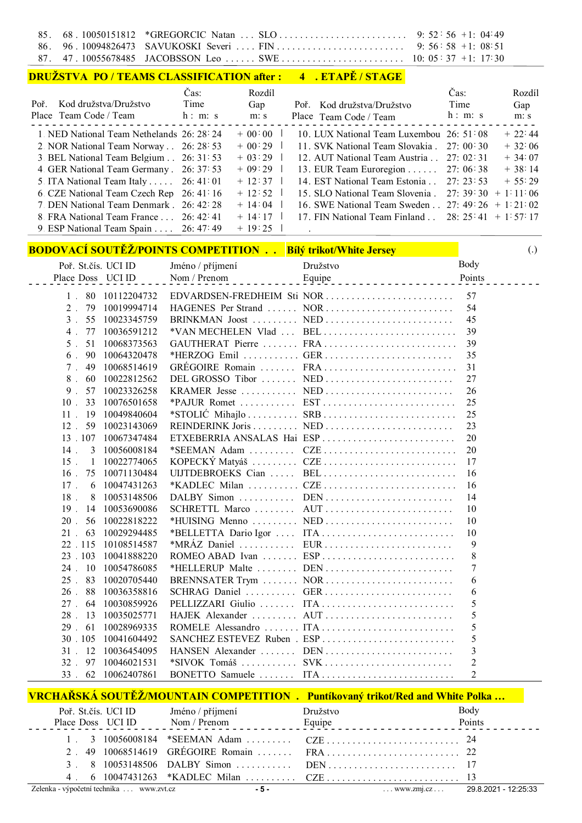| 85.<br>86. | 68.10050151812<br>96.10094826473 |                               |                                                  |           | *GREGORCIC Natan  SLO<br>SAVUKOSKI Severi  FIN                                        | 9: $52 \cdot 56 + 1$ : 04:49<br>9: $56 \cdot 58 + 1: 08 \cdot 51$ |                |                                         |
|------------|----------------------------------|-------------------------------|--------------------------------------------------|-----------|---------------------------------------------------------------------------------------|-------------------------------------------------------------------|----------------|-----------------------------------------|
| 87.        | 47.10055678485                   |                               |                                                  |           | JACOBSSON Leo  SWE                                                                    | $10: 05 \cdot 37 + 1: 17 \cdot 30$                                |                |                                         |
|            |                                  |                               | <b>DRUŽSTVA PO / TEAMS CLASSIFICATION after:</b> |           | 4 . ETAPĚ / STAGE                                                                     |                                                                   |                |                                         |
|            |                                  |                               | Čas:                                             | Rozdíl    |                                                                                       |                                                                   | Čas:           | Rozdíl                                  |
| Poř.       |                                  | Kod družstva/Družstvo         | Time                                             | Gap       | Poř. Kod družstva/Družstvo                                                            |                                                                   | Time           | Gap                                     |
|            | Place Team Code / Team           |                               | $\mathbf{h}:~\mathbf{m}:~\mathbf{s}$             | m: s      | Place Team Code / Team                                                                |                                                                   | h: m: s        | m: s                                    |
|            |                                  |                               | 1. NED National Team Nethelands 26: 28: 24       | $+ 00:00$ | 10. LUX National Team Luxembou 26: 51:08                                              |                                                                   |                | $+22:44$                                |
|            |                                  | 2. NOR National Team Norway   | 26:28:53                                         | $+00:29$  | 11. SVK National Team Slovakia.                                                       |                                                                   | 27:00:30       | $+32:06$                                |
|            |                                  | 3. BEL National Team Belgium  | 26:31:53                                         | $+ 03:29$ | 12. AUT National Team Austria 27: 02:31                                               |                                                                   |                | $+34:07$                                |
|            |                                  | 4. GER National Team Germany. | 26:37:53                                         | $+09:29$  | 13. EUR Team Euroregion                                                               |                                                                   | 27:06:38       | $+38:14$                                |
|            |                                  | 5. ITA National Team Italy    | 26:41.01                                         | $+ 12:37$ | 14. EST National Team Estonia                                                         |                                                                   | 27:23:53       | $+ 55:29$                               |
|            |                                  |                               | 6. CZE National Team Czech Rep 26: 41:16         | $+ 12:52$ | 15. SLO National Team Slovenia.                                                       |                                                                   |                | $27:39:30 + 1:11:06$                    |
|            |                                  |                               | 7. DEN National Team Denmark . 26: 42: 28        | $+ 14:04$ | 16. SWE National Team Sweden 27: 49: 26 + 1: 21: 02                                   |                                                                   |                |                                         |
|            |                                  | 8. FRA National Team France   | 26:42:41                                         | $+ 14:17$ | 17. FIN National Team Finland                                                         |                                                                   |                | $28: 25 \cdot 41 + 1 \cdot 57 \cdot 17$ |
|            |                                  |                               | 9. ESP National Team Spain 26: 47: 49            | $+ 19:25$ |                                                                                       |                                                                   |                |                                         |
|            |                                  |                               |                                                  |           |                                                                                       |                                                                   |                |                                         |
|            |                                  |                               |                                                  |           | <b>BODOVACÍ SOUTĚŽ/POINTS COMPETITION Bílý trikot/White Jersey</b>                    |                                                                   |                | $\left( .\right)$                       |
|            | Poř. St.čís. UCI ID              |                               | Jméno / příjmení                                 |           | Družstvo                                                                              |                                                                   | Body           |                                         |
|            | Place Doss UCI ID                |                               | Nom / Prenom                                     |           | Equipe                                                                                |                                                                   | Points         |                                         |
|            | 80<br>$1$ .                      | 10112204732                   |                                                  |           | EDVARDSEN-FREDHEIM Sti NOR                                                            |                                                                   | 57             |                                         |
|            | $2$ .<br>79                      | 10019994714                   |                                                  |           | HAGENES Per Strand  NOR                                                               |                                                                   | 54             |                                         |
|            | 3 <sup>1</sup><br>55             | 10023345759                   |                                                  |           |                                                                                       |                                                                   | 45             |                                         |
|            | 4.<br>77                         | 10036591212                   |                                                  |           | *VAN MECHELEN Vlad  BEL                                                               |                                                                   | 39             |                                         |
|            | 5 <sub>1</sub><br>51             | 10068373563                   |                                                  |           |                                                                                       |                                                                   | 39             |                                         |
|            | 6.<br>90                         | 10064320478                   |                                                  |           |                                                                                       |                                                                   | 35             |                                         |
|            | 49<br>$7$ .                      | 10068514619                   |                                                  |           |                                                                                       |                                                                   | 31             |                                         |
|            | $8$ .<br>60                      | 10022812562                   |                                                  |           | DEL GROSSO Tibor  NED                                                                 |                                                                   | 27             |                                         |
|            | 57<br>9.                         | 10023326258                   |                                                  |           |                                                                                       |                                                                   | 26             |                                         |
|            | 33<br>10                         | 10076501658                   |                                                  |           |                                                                                       |                                                                   | 25             |                                         |
|            | 19<br>$11 -$                     | 10049840604                   |                                                  |           |                                                                                       |                                                                   | 25             |                                         |
|            | 12<br>59                         | 10023143069                   |                                                  |           | REINDERINK Joris  NED                                                                 |                                                                   | 23             |                                         |
|            | 13 107                           | 10067347484                   |                                                  |           | ETXEBERRIA ANSALAS Hai ESP                                                            |                                                                   | 20             |                                         |
|            | $14$ .<br>3                      | 10056008184                   |                                                  |           |                                                                                       |                                                                   | 20             |                                         |
|            | $15 \quad 1$                     | 10022774065                   |                                                  |           |                                                                                       |                                                                   | 17             |                                         |
|            | $16$ .<br>75                     | 10071130484                   |                                                  |           | UIJTDEBROEKS Cian  BEL                                                                |                                                                   | 16             |                                         |
|            | $17$ .<br>6                      | 10047431263                   |                                                  |           |                                                                                       |                                                                   | 16             |                                         |
|            | 18 <sup>1</sup><br>8             | 10053148506                   | $DALBY$ Simon                                    |           |                                                                                       |                                                                   | 14             |                                         |
|            | 19 <sup>2</sup><br>14            | 10053690086                   | $SCHRETTL$ Marco                                 |           |                                                                                       |                                                                   | 10             |                                         |
|            | 56<br>$20$ .                     | 10022818222                   |                                                  |           |                                                                                       |                                                                   | 10             |                                         |
|            | 63<br>$21$ .                     | 10029294485                   |                                                  |           | *BELLETTA Dario Igor  ITA                                                             |                                                                   | 10             |                                         |
|            | 22 115                           | 10108514587                   | *MRÁZ Daniel                                     |           | EUR                                                                                   |                                                                   | 9              |                                         |
|            | 23 103                           | 10041888220                   |                                                  |           |                                                                                       |                                                                   | 8              |                                         |
|            | 24 10                            | 10054786085                   |                                                  |           | *HELLERUP Malte  DEN                                                                  |                                                                   | 7              |                                         |
|            | 83<br>25                         | 10020705440                   |                                                  |           | BRENNSATER Trym  NOR                                                                  |                                                                   | 6              |                                         |
|            | 26<br>88                         | 10036358816                   | SCHRAG Daniel                                    |           | GER                                                                                   |                                                                   | 6              |                                         |
|            | 27.<br>64                        | 10030859926                   |                                                  |           |                                                                                       |                                                                   | 5              |                                         |
|            | 28.<br>13                        | 10035025771                   |                                                  |           |                                                                                       |                                                                   | 5              |                                         |
|            | 61<br>29.                        | 10028969335                   |                                                  |           |                                                                                       |                                                                   | 5              |                                         |
|            | 30 105                           | 10041604492                   |                                                  |           | SANCHEZ ESTEVEZ Ruben . ESP                                                           |                                                                   | 5              |                                         |
|            | 31 12                            | 10036454095                   |                                                  |           | HANSEN Alexander  DEN                                                                 |                                                                   | 3              |                                         |
|            | $32$ .<br>97                     | 10046021531                   | *SIVOK Tomáš                                     |           | $SVK$                                                                                 |                                                                   | $\overline{2}$ |                                         |
|            | 33<br>62                         | 10062407861                   |                                                  |           |                                                                                       |                                                                   | $\overline{2}$ |                                         |
|            |                                  |                               |                                                  |           | <b>VRCHAŘSKÁ SOUTĚŽ/MOUNTAIN COMPETITION . Puntíkovaný trikot/Red and White Polka</b> |                                                                   |                |                                         |
|            | Poř. St.čís. UCI ID              |                               | Jméno / příjmení                                 |           | Družstvo                                                                              |                                                                   | Body           |                                         |
|            | Place Doss UCI ID                |                               | Nom / Prenom                                     |           | Equipe                                                                                |                                                                   | Points         |                                         |
|            |                                  | 10056008184                   | $*SEEMAN$ Adam $\dots\dots$                      |           |                                                                                       |                                                                   | 24             |                                         |
|            | 1.<br>3<br>$2$ .<br>49           | 10068514619                   | GRÉGOIRE Romain                                  |           |                                                                                       |                                                                   | 22             |                                         |
|            | 3.                               | 8 10053148506                 | $DALBY$ Simon                                    |           |                                                                                       |                                                                   |                |                                         |
|            |                                  |                               |                                                  |           |                                                                                       |                                                                   |                |                                         |

4 . 6 10047431263 \*KADLEC Milan . . . . . . . . . . CZE . . . . . . . . . . . . . . . . . . . . . . . . . . 13